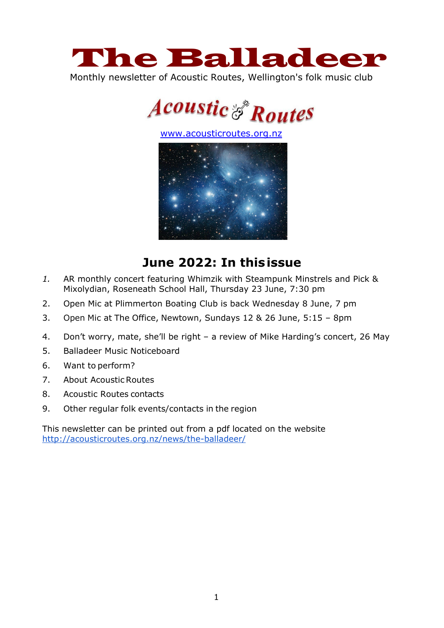

Monthly newsletter of Acoustic Routes, Wellington's folk music club



[www.acousticroutes.org.nz](http://www.acousticroutes.org.nz/)



# **June 2022: In thisissue**

- *1.* AR monthly concert featuring Whimzik with Steampunk Minstrels and Pick & Mixolydian, Roseneath School Hall, Thursday 23 June, 7:30 pm
- 2. Open Mic at Plimmerton Boating Club is back Wednesday 8 June, 7 pm
- 3. Open Mic at The Office, Newtown, Sundays 12 & 26 June, 5:15 8pm
- 4. Don't worry, mate, she'll be right a review of Mike Harding's concert, 26 May
- 5. Balladeer Music Noticeboard
- 6. Want to perform?
- 7. About AcousticRoutes
- 8. Acoustic Routes contacts
- 9. Other regular folk events/contacts in the region

This newsletter can be printed out from a pdf located on the website <http://acousticroutes.org.nz/news/the-balladeer/>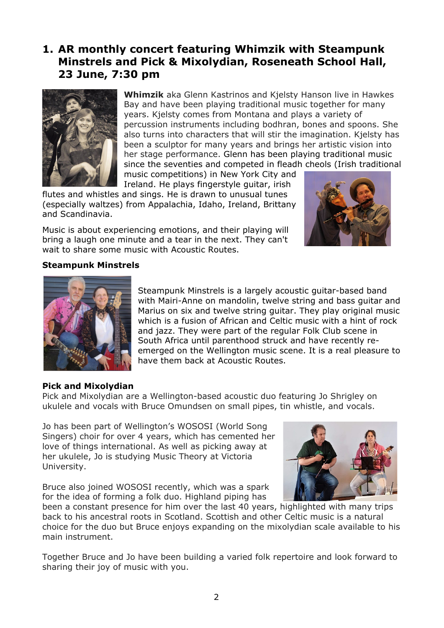## **1. AR monthly concert featuring Whimzik with Steampunk Minstrels and Pick & Mixolydian, Roseneath School Hall, 23 June, 7:30 pm**



**Whimzik** aka Glenn Kastrinos and Kjelsty Hanson live in Hawkes Bay and have been playing traditional music together for many years. Kjelsty comes from Montana and plays a variety of percussion instruments including bodhran, bones and spoons. She also turns into characters that will stir the imagination. Kjelsty has been a sculptor for many years and brings her artistic vision into her stage performance. Glenn has been playing traditional music since the seventies and competed in fleadh cheols (Irish traditional music competitions) in New York City and

Ireland. He plays fingerstyle guitar, irish flutes and whistles and sings. He is drawn to unusual tunes (especially waltzes) from Appalachia, Idaho, Ireland, Brittany and Scandinavia.

Music is about experiencing emotions, and their playing will bring a laugh one minute and a tear in the next. They can't wait to share some music with Acoustic Routes.



#### **Steampunk Minstrels**



Steampunk Minstrels is a largely acoustic guitar-based band with Mairi-Anne on mandolin, twelve string and bass guitar and Marius on six and twelve string guitar. They play original music which is a fusion of African and Celtic music with a hint of rock and jazz. They were part of the regular Folk Club scene in South Africa until parenthood struck and have recently reemerged on the Wellington music scene. It is a real pleasure to have them back at Acoustic Routes.

#### **Pick and Mixolydian**

Pick and Mixolydian are a Wellington-based acoustic duo featuring Jo Shrigley on ukulele and vocals with Bruce Omundsen on small pipes, tin whistle, and vocals.

Jo has been part of Wellington's WOSOSI (World Song Singers) choir for over 4 years, which has cemented her love of things international. As well as picking away at her ukulele, Jo is studying Music Theory at Victoria University.

Bruce also joined WOSOSI recently, which was a spark for the idea of forming a folk duo. Highland piping has



been a constant presence for him over the last 40 years, highlighted with many trips back to his ancestral roots in Scotland. Scottish and other Celtic music is a natural choice for the duo but Bruce enjoys expanding on the mixolydian scale available to his main instrument.

Together Bruce and Jo have been building a varied folk repertoire and look forward to sharing their joy of music with you.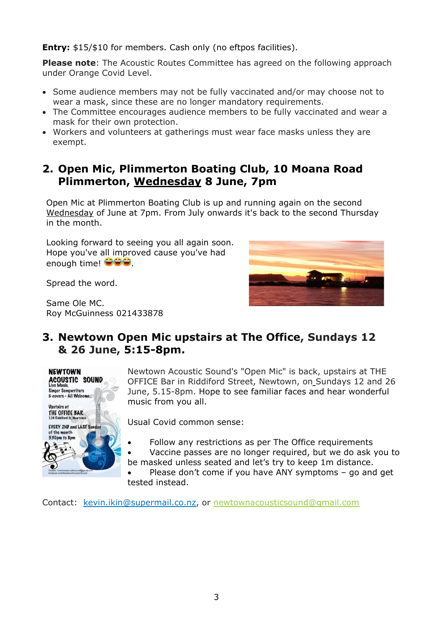**Entry:** \$15/\$10 for members. Cash only (no eftpos facilities).

**Please note**: The Acoustic Routes Committee has agreed on the following approach under Orange Covid Level.

- Some audience members may not be fully vaccinated and/or may choose not to wear a mask, since these are no longer mandatory requirements.
- The Committee encourages audience members to be fully vaccinated and wear a mask for their own protection.
- Workers and volunteers at gatherings must wear face masks unless they are exempt.

### **2. Open Mic, Plimmerton Boating Club, 10 Moana Road Plimmerton, Wednesday 8 June, 7pm**

Open Mic at Plimmerton Boating Club is up and running again on the second Wednesday of June at 7pm. From July onwards it's back to the second Thursday in the month.

Looking forward to seeing you all again soon. Hope you've all improved cause you've had enough time!  $\bigcirc \bigcirc$ 

Spread the word.

Same Ole MC. Roy McGuinness 021433878



## **3. Newtown Open Mic upstairs at The Office, Sundays 12 & 26 June, 5:15-8pm.**



Newtown Acoustic Sound's "Open Mic" is back, upstairs at THE OFFICE Bar in Riddiford Street, Newtown, on Sundays 12 and 26 June, 5.15-8pm. Hope to see familiar faces and hear wonderful music from you all.

Usual Covid common sense:

- Follow any restrictions as per The Office requirements
- Vaccine passes are no longer required, but we do ask you to be masked unless seated and let's try to keep 1m distance.
- Please don't come if you have ANY symptoms go and get tested instead.

Contact: kevin.ikin@supermail.co.nz, or [newtownacousticsound@gmail.com](mailto:newtownacousticsound@gmail.com)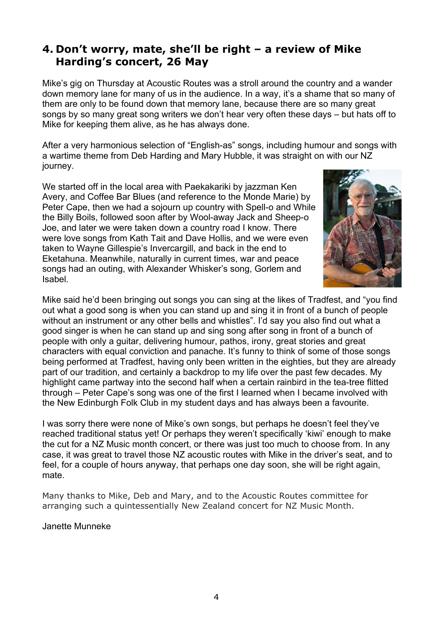## **4. Don't worry, mate, she'll be right – a review of Mike Harding's concert, 26 May**

Mike's gig on Thursday at Acoustic Routes was a stroll around the country and a wander down memory lane for many of us in the audience. In a way, it's a shame that so many of them are only to be found down that memory lane, because there are so many great songs by so many great song writers we don't hear very often these days – but hats off to Mike for keeping them alive, as he has always done.

After a very harmonious selection of "English-as" songs, including humour and songs with a wartime theme from Deb Harding and Mary Hubble, it was straight on with our NZ journey.

We started off in the local area with Paekakariki by jazzman Ken Avery, and Coffee Bar Blues (and reference to the Monde Marie) by Peter Cape, then we had a sojourn up country with Spell-o and While the Billy Boils, followed soon after by Wool-away Jack and Sheep-o Joe, and later we were taken down a country road I know. There were love songs from Kath Tait and Dave Hollis, and we were even taken to Wayne Gillespie's Invercargill, and back in the end to Eketahuna. Meanwhile, naturally in current times, war and peace songs had an outing, with Alexander Whisker's song, Gorlem and Isabel.



Mike said he'd been bringing out songs you can sing at the likes of Tradfest, and "you find out what a good song is when you can stand up and sing it in front of a bunch of people without an instrument or any other bells and whistles". I'd say you also find out what a good singer is when he can stand up and sing song after song in front of a bunch of people with only a guitar, delivering humour, pathos, irony, great stories and great characters with equal conviction and panache. It's funny to think of some of those songs being performed at Tradfest, having only been written in the eighties, but they are already part of our tradition, and certainly a backdrop to my life over the past few decades. My highlight came partway into the second half when a certain rainbird in the tea-tree flitted through – Peter Cape's song was one of the first I learned when I became involved with the New Edinburgh Folk Club in my student days and has always been a favourite.

I was sorry there were none of Mike's own songs, but perhaps he doesn't feel they've reached traditional status yet! Or perhaps they weren't specifically 'kiwi' enough to make the cut for a NZ Music month concert, or there was just too much to choose from. In any case, it was great to travel those NZ acoustic routes with Mike in the driver's seat, and to feel, for a couple of hours anyway, that perhaps one day soon, she will be right again, mate.

Many thanks to Mike, Deb and Mary, and to the Acoustic Routes committee for arranging such a quintessentially New Zealand concert for NZ Music Month.

Janette Munneke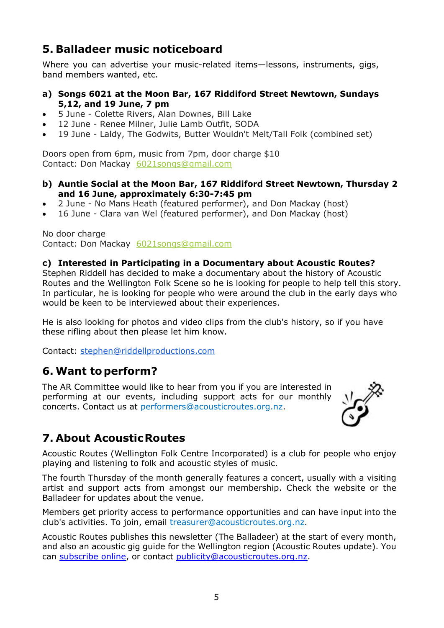## **5. Balladeer music noticeboard**

Where you can advertise your music-related items—lessons, instruments, gigs, band members wanted, etc.

- **a) Songs 6021 at the Moon Bar, 167 Riddiford Street Newtown, Sundays 5,12, and 19 June, 7 pm**
- 5 June Colette Rivers, Alan Downes, Bill Lake
- 12 June Renee Milner, Julie Lamb Outfit, SODA
- 19 June Laldy, The Godwits, Butter Wouldn't Melt/Tall Folk (combined set)

Doors open from 6pm, music from 7pm, door charge \$10 Contact: Don Mackay [6021songs@gmail.com](mailto:6021songs@gmail.com%3e)

- **b) Auntie Social at the Moon Bar, 167 Riddiford Street Newtown, Thursday 2 and 16 June, approximately 6:30-7:45 pm**
- 2 June No Mans Heath (featured performer), and Don Mackay (host)
- 16 June Clara van Wel (featured performer), and Don Mackay (host)

No door charge Contact: Don Mackay [6021songs@gmail.com](mailto:6021songs@gmail.com%3e)

### **c) Interested in Participating in a Documentary about Acoustic Routes?**

Stephen Riddell has decided to make a documentary about the history of Acoustic Routes and the Wellington Folk Scene so he is looking for people to help tell this story. In particular, he is looking for people who were around the club in the early days who would be keen to be interviewed about their experiences.

He is also looking for photos and video clips from the club's history, so if you have these rifling about then please let him know.

Contact: [stephen@riddellproductions.com](mailto:stephen@riddellproductions.com)

### **6. Want to perform?**

The AR Committee would like to hear from you if you are interested in performing at our events, including support acts for our monthly concerts. Contact us at [performers@acousticroutes.org.nz.](mailto:performers@acousticroutes.org.nz)



## **7. About AcousticRoutes**

Acoustic Routes (Wellington Folk Centre Incorporated) is a club for people who enjoy playing and listening to folk and acoustic styles of music.

The fourth Thursday of the month generally features a concert, usually with a visiting artist and support acts from amongst our membership. Check the website or the Balladeer for updates about the venue.

Members get priority access to performance opportunities and can have input into the club's activities. To join, email [treasurer@acousticroutes.org.nz.](mailto:treasurer@acousticroutes.org.nz)

Acoustic Routes publishes this newsletter (The Balladeer) at the start of every month, and also an acoustic gig guide for the Wellington region (Acoustic Routes update). You can [subscribe online,](http://eepurl.com/mP90b) or contact [publicity@acousticroutes.org.nz.](mailto:publicity@acousticroutes.org.nz)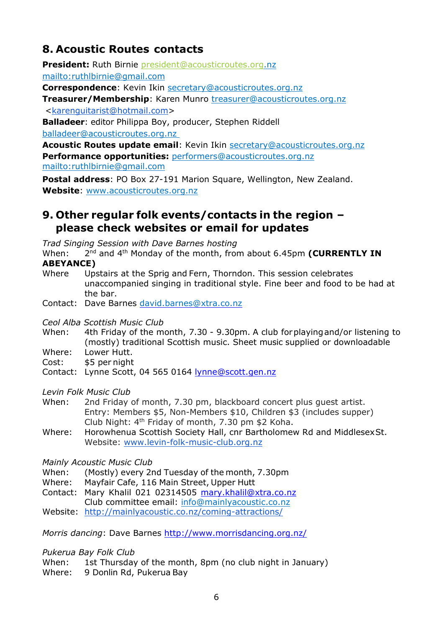## **8. Acoustic Routes contacts**

**President:** Ruth Birnie [president@acousticroutes.org.](mailto:president@acousticroutes.org)nz

<mailto:ruthlbirnie@gmail.com>

**Correspondence**: Kevin Ikin [secretary@acousticroutes.org.nz](mailto:secretary@acousticroutes.org.nz)

**Treasurer/Membership**: Karen Munro [treasurer@acousticroutes.org.nz](mailto:treasurer@acousticroutes.org.nz)

[<karenguitarist@hotmail.com>](mailto:karenguitarist@hotmail.com)

**Balladeer**: editor Philippa Boy, producer, Stephen Riddell [balladeer@acousticroutes.org.nz](mailto:balladeer@acousticroutes.org.nz)

**Acoustic Routes update email**: Kevin Ikin [secretary@acousticroutes.org.nz](mailto:secretary@acousticroutes.org.nz) **Performance opportunities:** [performers@acousticroutes.org.nz](mailto:performers@acousticroutes.org.nz) <mailto:ruthlbirnie@gmail.com>

**Postal address**: PO Box 27-191 Marion Square, Wellington, New Zealand. **Website**: [www.acousticroutes.org.nz](http://www.acousticroutes.org.nz/)

## **9. Other regular folk events/contacts in the region – please check websites or email for updates**

*Trad Singing Session with Dave Barnes hosting*

When: 2<sup>nd</sup> and 4<sup>th</sup> Monday of the month, from about 6.45pm **(CURRENTLY IN ABEYANCE)**

Where Upstairs at the Sprig and Fern, Thorndon. This session celebrates unaccompanied singing in traditional style. Fine beer and food to be had at the bar.

Contact: Dave Barnes [david.barnes@xtra.co.nz](mailto:david.barnes@xtra.co.nz)

*Ceol Alba Scottish Music Club*

- When: 4th Friday of the month, 7.30 9.30pm. A club forplayingand/or listening to (mostly) traditional Scottish music. Sheet music supplied or downloadable
- Where: Lower Hutt.
- Cost: \$5 per night
- Contact: Lynne Scott, 04 565 0164 [lynne@scott.gen.nz](mailto:lynne@scott.gen.nz)

*Levin Folk Music Club*

- When: 2nd Friday of month, 7.30 pm, blackboard concert plus guest artist. Entry: Members \$5, Non-Members \$10, Children \$3 (includes supper) Club Night: 4th Friday of month, 7.30 pm \$2 Koha.
- Where: Horowhenua Scottish Society Hall, cnr Bartholomew Rd and MiddlesexSt. Website: [www.levin-folk-music-club.org.nz](http://www.levin-folk-music-club.org.nz/)

*Mainly Acoustic Music Club*

- When: (Mostly) every 2nd Tuesday of the month, 7.30pm
- Where: Mayfair Cafe, 116 Main Street, Upper Hutt
- Contact: Mary Khalil 021 02314505 [mary.khalil@xtra.co.nz](mailto:mary.khalil@xtra.co.nz)

Club committee email: [info@mainlyacoustic.co.nz](mailto:info@mainlyacoustic.co.nz)

Website: <http://mainlyacoustic.co.nz/coming-attractions/>

*Morris dancing*: Dave Barnes<http://www.morrisdancing.org.nz/>

*Pukerua Bay Folk Club*

When: 1st Thursday of the month, 8pm (no club night in January)

Where: 9 Donlin Rd, Pukerua Bay